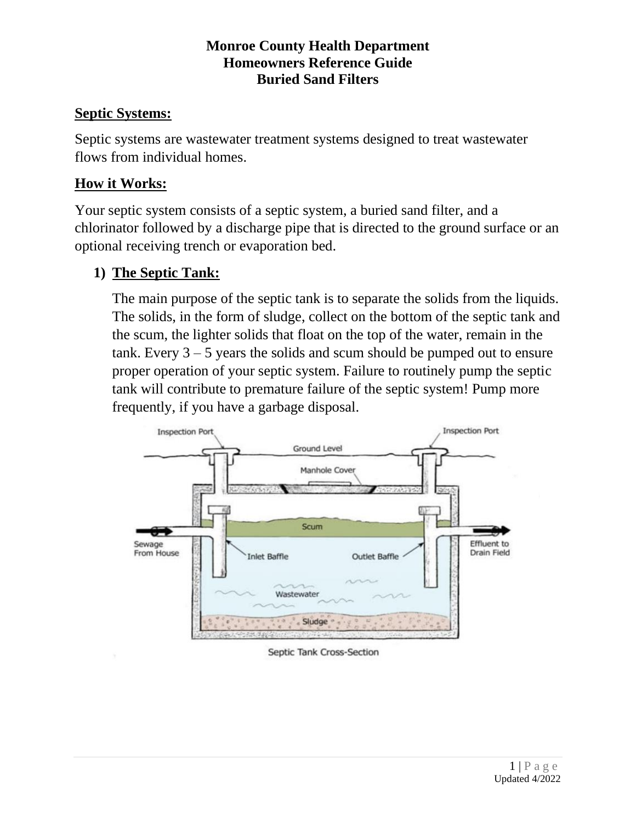### **Monroe County Health Department Homeowners Reference Guide Buried Sand Filters**

## **Septic Systems:**

Septic systems are wastewater treatment systems designed to treat wastewater flows from individual homes.

## **How it Works:**

Your septic system consists of a septic system, a buried sand filter, and a chlorinator followed by a discharge pipe that is directed to the ground surface or an optional receiving trench or evaporation bed.

# **1) The Septic Tank:**

The main purpose of the septic tank is to separate the solids from the liquids. The solids, in the form of sludge, collect on the bottom of the septic tank and the scum, the lighter solids that float on the top of the water, remain in the tank. Every  $3 - 5$  years the solids and scum should be pumped out to ensure proper operation of your septic system. Failure to routinely pump the septic tank will contribute to premature failure of the septic system! Pump more frequently, if you have a garbage disposal.



Septic Tank Cross-Section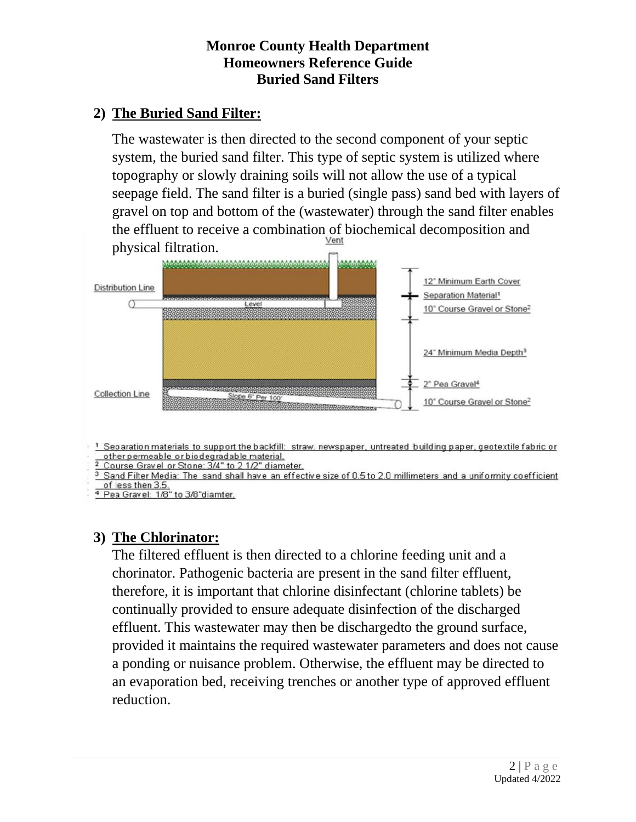### **Monroe County Health Department Homeowners Reference Guide Buried Sand Filters**

# **2) The Buried Sand Filter:**

The wastewater is then directed to the second component of your septic system, the buried sand filter. This type of septic system is utilized where topography or slowly draining soils will not allow the use of a typical seepage field. The sand filter is a buried (single pass) sand bed with layers of gravel on top and bottom of the (wastewater) through the sand filter enables the effluent to receive a combination of biochemical decomposition and physical filtration.



<sup>1</sup> Separation materials to support the backfill: straw, newspaper, untreated building paper, geotextile fabric or other permeable or biodegradable material.

2 Course Gravel or Stone: 3/4" to 2 1/2" diameter.<br><sup>3</sup> Sand Filter Media: The sand shall have an effective size of 0.5 to 2.0 millimeters and a uniformity coefficient of less then 3.5.

<sup>4</sup> Pea Gravel: 1/8" to 3/8"diamter.

## **3) The Chlorinator:**

The filtered effluent is then directed to a chlorine feeding unit and a chorinator. Pathogenic bacteria are present in the sand filter effluent, therefore, it is important that chlorine disinfectant (chlorine tablets) be continually provided to ensure adequate disinfection of the discharged effluent. This wastewater may then be dischargedto the ground surface, provided it maintains the required wastewater parameters and does not cause a ponding or nuisance problem. Otherwise, the effluent may be directed to an evaporation bed, receiving trenches or another type of approved effluent reduction.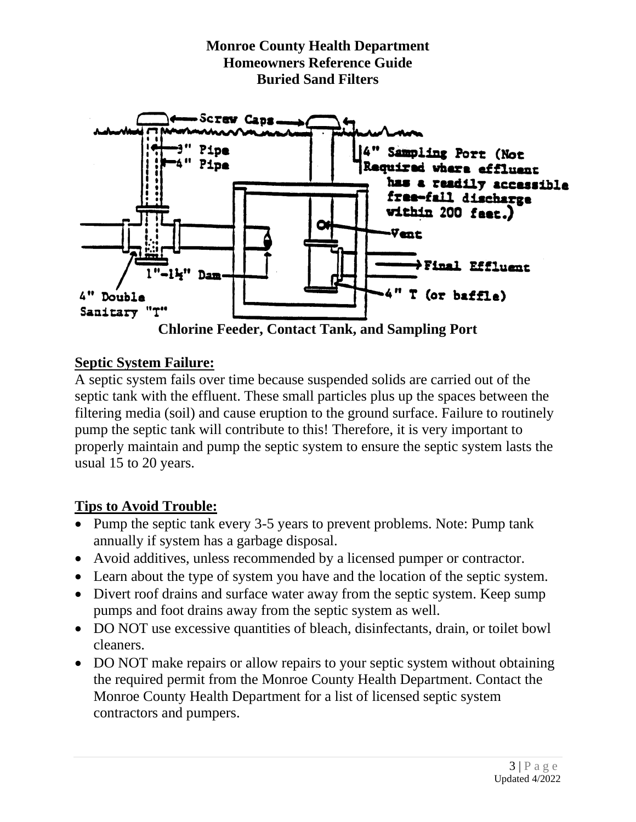

#### **Septic System Failure:**

A septic system fails over time because suspended solids are carried out of the septic tank with the effluent. These small particles plus up the spaces between the filtering media (soil) and cause eruption to the ground surface. Failure to routinely pump the septic tank will contribute to this! Therefore, it is very important to properly maintain and pump the septic system to ensure the septic system lasts the usual 15 to 20 years.

### **Tips to Avoid Trouble:**

- Pump the septic tank every 3-5 years to prevent problems. Note: Pump tank annually if system has a garbage disposal.
- Avoid additives, unless recommended by a licensed pumper or contractor.
- Learn about the type of system you have and the location of the septic system.
- Divert roof drains and surface water away from the septic system. Keep sump pumps and foot drains away from the septic system as well.
- DO NOT use excessive quantities of bleach, disinfectants, drain, or toilet bowl cleaners.
- DO NOT make repairs or allow repairs to your septic system without obtaining the required permit from the Monroe County Health Department. Contact the Monroe County Health Department for a list of licensed septic system contractors and pumpers.